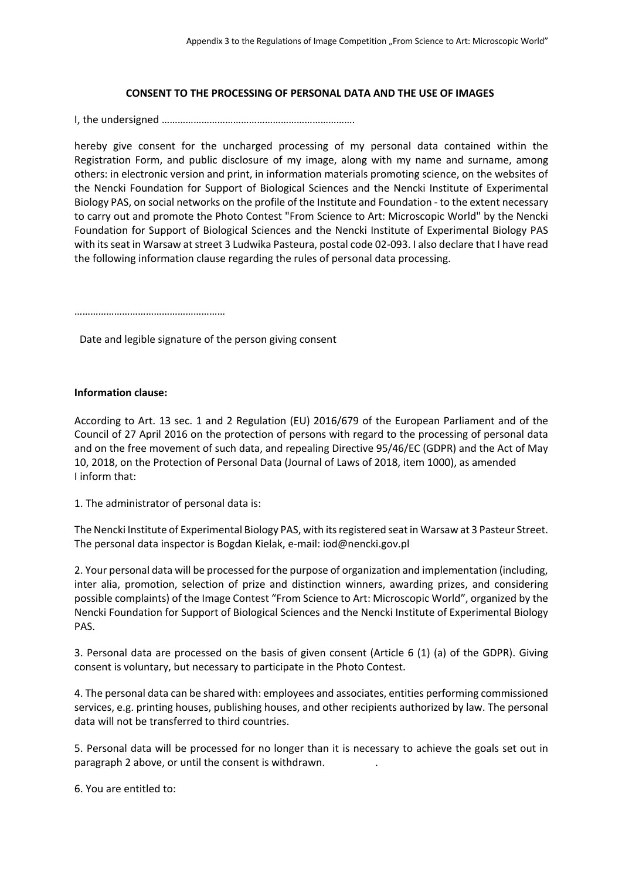## **CONSENT TO THE PROCESSING OF PERSONAL DATA AND THE USE OF IMAGES**

I, the undersigned ……………………………………………………………….

hereby give consent for the uncharged processing of my personal data contained within the Registration Form, and public disclosure of my image, along with my name and surname, among others: in electronic version and print, in information materials promoting science, on the websites of the Nencki Foundation for Support of Biological Sciences and the Nencki Institute of Experimental Biology PAS, on social networks on the profile of the Institute and Foundation - to the extent necessary to carry out and promote the Photo Contest "From Science to Art: Microscopic World" by the Nencki Foundation for Support of Biological Sciences and the Nencki Institute of Experimental Biology PAS with its seat in Warsaw at street 3 Ludwika Pasteura, postal code 02-093. I also declare that I have read the following information clause regarding the rules of personal data processing.

…………………………………………………

Date and legible signature of the person giving consent

## **Information clause:**

According to Art. 13 sec. 1 and 2 Regulation (EU) 2016/679 of the European Parliament and of the Council of 27 April 2016 on the protection of persons with regard to the processing of personal data and on the free movement of such data, and repealing Directive 95/46/EC (GDPR) and the Act of May 10, 2018, on the Protection of Personal Data (Journal of Laws of 2018, item 1000), as amended I inform that:

1. The administrator of personal data is:

The Nencki Institute of Experimental Biology PAS, with its registered seat in Warsaw at 3 Pasteur Street. The personal data inspector is Bogdan Kielak, e-mail: iod@nencki.gov.pl

2. Your personal data will be processed for the purpose of organization and implementation (including, inter alia, promotion, selection of prize and distinction winners, awarding prizes, and considering possible complaints) of the Image Contest "From Science to Art: Microscopic World", organized by the Nencki Foundation for Support of Biological Sciences and the Nencki Institute of Experimental Biology PAS.

3. Personal data are processed on the basis of given consent (Article 6 (1) (a) of the GDPR). Giving consent is voluntary, but necessary to participate in the Photo Contest.

4. The personal data can be shared with: employees and associates, entities performing commissioned services, e.g. printing houses, publishing houses, and other recipients authorized by law. The personal data will not be transferred to third countries.

5. Personal data will be processed for no longer than it is necessary to achieve the goals set out in paragraph 2 above, or until the consent is withdrawn. .

6. You are entitled to: